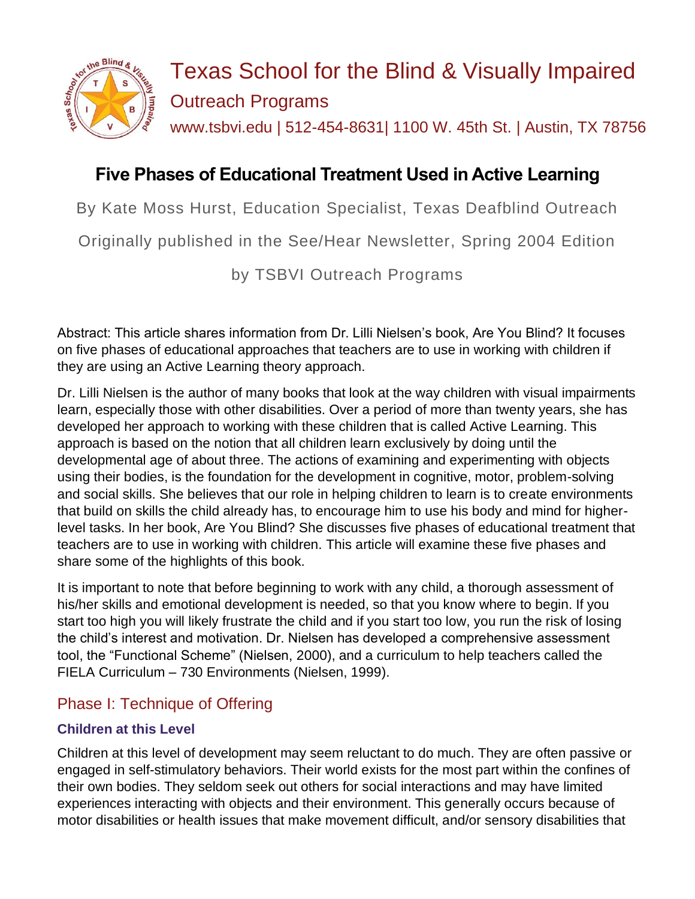

# Texas School for the Blind & Visually Impaired Outreach Programs www.tsbvi.edu | 512-454-8631| 1100 W. 45th St. | Austin, TX 78756

# **Five Phases of Educational Treatment Used in Active Learning**

By Kate Moss Hurst, Education Specialist, Texas Deafblind Outreach

Originally published in the See/Hear Newsletter, Spring 2004 Edition

by TSBVI Outreach Programs

Abstract: This article shares information from Dr. Lilli Nielsen's book, Are You Blind? It focuses on five phases of educational approaches that teachers are to use in working with children if they are using an Active Learning theory approach.

Dr. Lilli Nielsen is the author of many books that look at the way children with visual impairments learn, especially those with other disabilities. Over a period of more than twenty years, she has developed her approach to working with these children that is called Active Learning. This approach is based on the notion that all children learn exclusively by doing until the developmental age of about three. The actions of examining and experimenting with objects using their bodies, is the foundation for the development in cognitive, motor, problem-solving and social skills. She believes that our role in helping children to learn is to create environments that build on skills the child already has, to encourage him to use his body and mind for higherlevel tasks. In her book, Are You Blind? She discusses five phases of educational treatment that teachers are to use in working with children. This article will examine these five phases and share some of the highlights of this book.

It is important to note that before beginning to work with any child, a thorough assessment of his/her skills and emotional development is needed, so that you know where to begin. If you start too high you will likely frustrate the child and if you start too low, you run the risk of losing the child's interest and motivation. Dr. Nielsen has developed a comprehensive assessment tool, the "Functional Scheme" (Nielsen, 2000), and a curriculum to help teachers called the FIELA Curriculum – 730 Environments (Nielsen, 1999).

# Phase I: Technique of Offering

### **Children at this Level**

Children at this level of development may seem reluctant to do much. They are often passive or engaged in self-stimulatory behaviors. Their world exists for the most part within the confines of their own bodies. They seldom seek out others for social interactions and may have limited experiences interacting with objects and their environment. This generally occurs because of motor disabilities or health issues that make movement difficult, and/or sensory disabilities that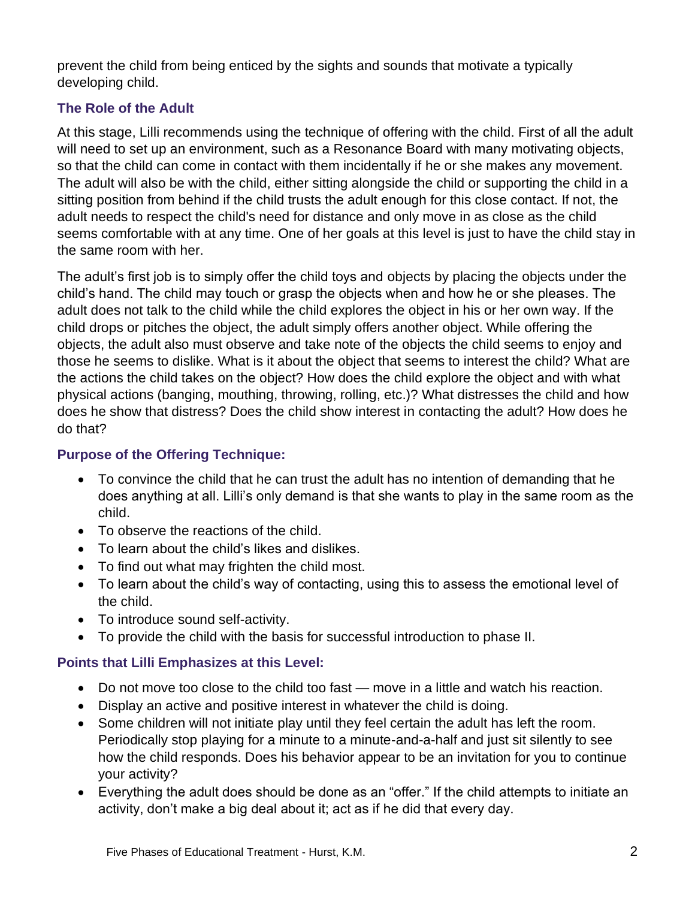prevent the child from being enticed by the sights and sounds that motivate a typically developing child.

#### **The Role of the Adult**

At this stage, Lilli recommends using the technique of offering with the child. First of all the adult will need to set up an environment, such as a Resonance Board with many motivating objects, so that the child can come in contact with them incidentally if he or she makes any movement. The adult will also be with the child, either sitting alongside the child or supporting the child in a sitting position from behind if the child trusts the adult enough for this close contact. If not, the adult needs to respect the child's need for distance and only move in as close as the child seems comfortable with at any time. One of her goals at this level is just to have the child stay in the same room with her.

The adult's first job is to simply offer the child toys and objects by placing the objects under the child's hand. The child may touch or grasp the objects when and how he or she pleases. The adult does not talk to the child while the child explores the object in his or her own way. If the child drops or pitches the object, the adult simply offers another object. While offering the objects, the adult also must observe and take note of the objects the child seems to enjoy and those he seems to dislike. What is it about the object that seems to interest the child? What are the actions the child takes on the object? How does the child explore the object and with what physical actions (banging, mouthing, throwing, rolling, etc.)? What distresses the child and how does he show that distress? Does the child show interest in contacting the adult? How does he do that?

#### **Purpose of the Offering Technique:**

- To convince the child that he can trust the adult has no intention of demanding that he does anything at all. Lilli's only demand is that she wants to play in the same room as the child.
- To observe the reactions of the child.
- To learn about the child's likes and dislikes.
- To find out what may frighten the child most.
- To learn about the child's way of contacting, using this to assess the emotional level of the child.
- To introduce sound self-activity.
- To provide the child with the basis for successful introduction to phase II.

#### **Points that Lilli Emphasizes at this Level:**

- Do not move too close to the child too fast move in a little and watch his reaction.
- Display an active and positive interest in whatever the child is doing.
- Some children will not initiate play until they feel certain the adult has left the room. Periodically stop playing for a minute to a minute-and-a-half and just sit silently to see how the child responds. Does his behavior appear to be an invitation for you to continue your activity?
- Everything the adult does should be done as an "offer." If the child attempts to initiate an activity, don't make a big deal about it; act as if he did that every day.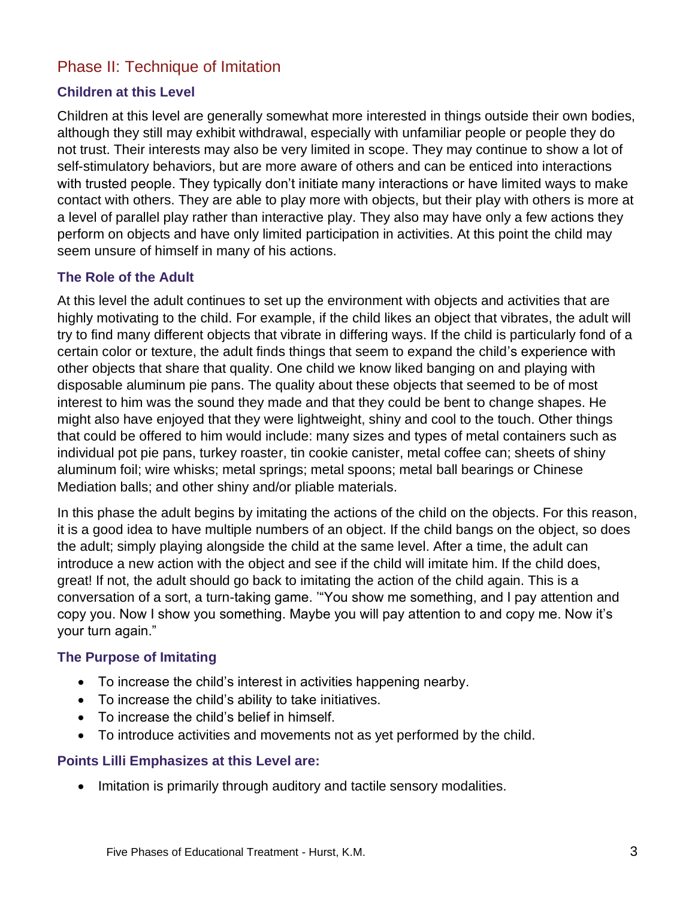## Phase II: Technique of Imitation

#### **Children at this Level**

Children at this level are generally somewhat more interested in things outside their own bodies, although they still may exhibit withdrawal, especially with unfamiliar people or people they do not trust. Their interests may also be very limited in scope. They may continue to show a lot of self-stimulatory behaviors, but are more aware of others and can be enticed into interactions with trusted people. They typically don't initiate many interactions or have limited ways to make contact with others. They are able to play more with objects, but their play with others is more at a level of parallel play rather than interactive play. They also may have only a few actions they perform on objects and have only limited participation in activities. At this point the child may seem unsure of himself in many of his actions.

#### **The Role of the Adult**

At this level the adult continues to set up the environment with objects and activities that are highly motivating to the child. For example, if the child likes an object that vibrates, the adult will try to find many different objects that vibrate in differing ways. If the child is particularly fond of a certain color or texture, the adult finds things that seem to expand the child's experience with other objects that share that quality. One child we know liked banging on and playing with disposable aluminum pie pans. The quality about these objects that seemed to be of most interest to him was the sound they made and that they could be bent to change shapes. He might also have enjoyed that they were lightweight, shiny and cool to the touch. Other things that could be offered to him would include: many sizes and types of metal containers such as individual pot pie pans, turkey roaster, tin cookie canister, metal coffee can; sheets of shiny aluminum foil; wire whisks; metal springs; metal spoons; metal ball bearings or Chinese Mediation balls; and other shiny and/or pliable materials.

In this phase the adult begins by imitating the actions of the child on the objects. For this reason, it is a good idea to have multiple numbers of an object. If the child bangs on the object, so does the adult; simply playing alongside the child at the same level. After a time, the adult can introduce a new action with the object and see if the child will imitate him. If the child does, great! If not, the adult should go back to imitating the action of the child again. This is a conversation of a sort, a turn-taking game. '"You show me something, and I pay attention and copy you. Now I show you something. Maybe you will pay attention to and copy me. Now it's your turn again."

#### **The Purpose of Imitating**

- To increase the child's interest in activities happening nearby.
- To increase the child's ability to take initiatives.
- To increase the child's belief in himself.
- To introduce activities and movements not as yet performed by the child.

#### **Points Lilli Emphasizes at this Level are:**

• Imitation is primarily through auditory and tactile sensory modalities.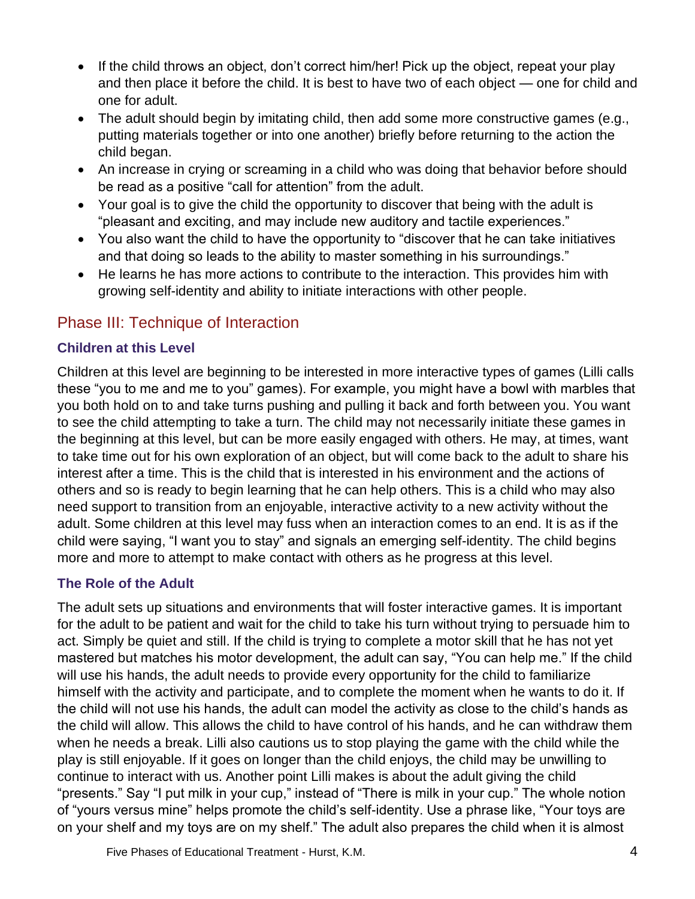- If the child throws an object, don't correct him/her! Pick up the object, repeat your play and then place it before the child. It is best to have two of each object — one for child and one for adult.
- The adult should begin by imitating child, then add some more constructive games (e.g., putting materials together or into one another) briefly before returning to the action the child began.
- An increase in crying or screaming in a child who was doing that behavior before should be read as a positive "call for attention" from the adult.
- Your goal is to give the child the opportunity to discover that being with the adult is "pleasant and exciting, and may include new auditory and tactile experiences."
- You also want the child to have the opportunity to "discover that he can take initiatives and that doing so leads to the ability to master something in his surroundings."
- He learns he has more actions to contribute to the interaction. This provides him with growing self-identity and ability to initiate interactions with other people.

# Phase III: Technique of Interaction

#### **Children at this Level**

Children at this level are beginning to be interested in more interactive types of games (Lilli calls these "you to me and me to you" games). For example, you might have a bowl with marbles that you both hold on to and take turns pushing and pulling it back and forth between you. You want to see the child attempting to take a turn. The child may not necessarily initiate these games in the beginning at this level, but can be more easily engaged with others. He may, at times, want to take time out for his own exploration of an object, but will come back to the adult to share his interest after a time. This is the child that is interested in his environment and the actions of others and so is ready to begin learning that he can help others. This is a child who may also need support to transition from an enjoyable, interactive activity to a new activity without the adult. Some children at this level may fuss when an interaction comes to an end. It is as if the child were saying, "I want you to stay" and signals an emerging self-identity. The child begins more and more to attempt to make contact with others as he progress at this level.

#### **The Role of the Adult**

The adult sets up situations and environments that will foster interactive games. It is important for the adult to be patient and wait for the child to take his turn without trying to persuade him to act. Simply be quiet and still. If the child is trying to complete a motor skill that he has not yet mastered but matches his motor development, the adult can say, "You can help me." If the child will use his hands, the adult needs to provide every opportunity for the child to familiarize himself with the activity and participate, and to complete the moment when he wants to do it. If the child will not use his hands, the adult can model the activity as close to the child's hands as the child will allow. This allows the child to have control of his hands, and he can withdraw them when he needs a break. Lilli also cautions us to stop playing the game with the child while the play is still enjoyable. If it goes on longer than the child enjoys, the child may be unwilling to continue to interact with us. Another point Lilli makes is about the adult giving the child "presents." Say "I put milk in your cup," instead of "There is milk in your cup." The whole notion of "yours versus mine" helps promote the child's self-identity. Use a phrase like, "Your toys are on your shelf and my toys are on my shelf." The adult also prepares the child when it is almost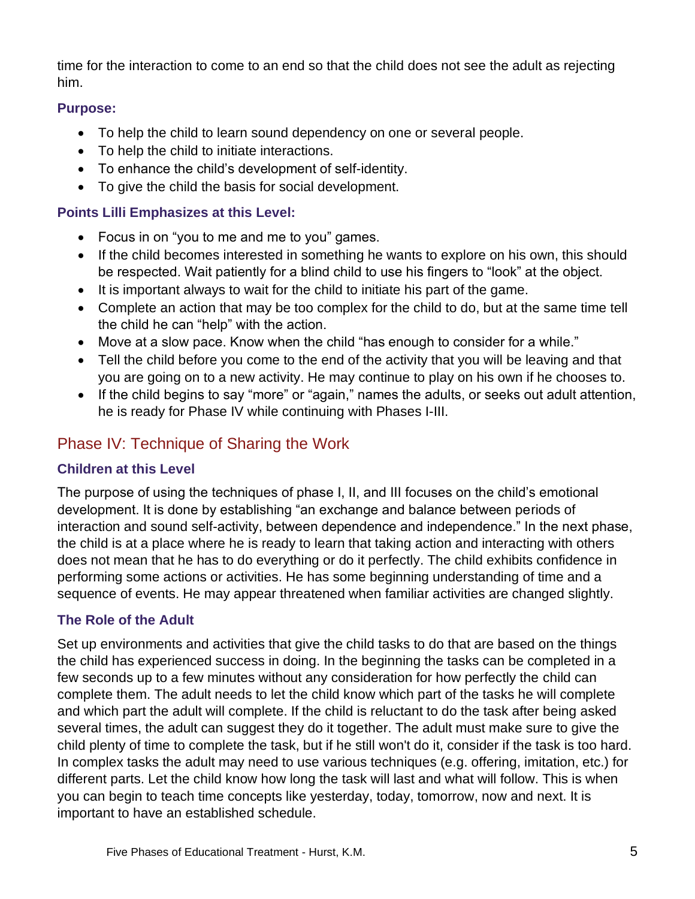time for the interaction to come to an end so that the child does not see the adult as rejecting him.

#### **Purpose:**

- To help the child to learn sound dependency on one or several people.
- To help the child to initiate interactions.
- To enhance the child's development of self-identity.
- To give the child the basis for social development.

#### **Points Lilli Emphasizes at this Level:**

- Focus in on "you to me and me to you" games.
- If the child becomes interested in something he wants to explore on his own, this should be respected. Wait patiently for a blind child to use his fingers to "look" at the object.
- It is important always to wait for the child to initiate his part of the game.
- Complete an action that may be too complex for the child to do, but at the same time tell the child he can "help" with the action.
- Move at a slow pace. Know when the child "has enough to consider for a while."
- Tell the child before you come to the end of the activity that you will be leaving and that you are going on to a new activity. He may continue to play on his own if he chooses to.
- If the child begins to say "more" or "again," names the adults, or seeks out adult attention, he is ready for Phase IV while continuing with Phases I-III.

# Phase IV: Technique of Sharing the Work

#### **Children at this Level**

The purpose of using the techniques of phase I, II, and III focuses on the child's emotional development. It is done by establishing "an exchange and balance between periods of interaction and sound self-activity, between dependence and independence." In the next phase, the child is at a place where he is ready to learn that taking action and interacting with others does not mean that he has to do everything or do it perfectly. The child exhibits confidence in performing some actions or activities. He has some beginning understanding of time and a sequence of events. He may appear threatened when familiar activities are changed slightly.

### **The Role of the Adult**

Set up environments and activities that give the child tasks to do that are based on the things the child has experienced success in doing. In the beginning the tasks can be completed in a few seconds up to a few minutes without any consideration for how perfectly the child can complete them. The adult needs to let the child know which part of the tasks he will complete and which part the adult will complete. If the child is reluctant to do the task after being asked several times, the adult can suggest they do it together. The adult must make sure to give the child plenty of time to complete the task, but if he still won't do it, consider if the task is too hard. In complex tasks the adult may need to use various techniques (e.g. offering, imitation, etc.) for different parts. Let the child know how long the task will last and what will follow. This is when you can begin to teach time concepts like yesterday, today, tomorrow, now and next. It is important to have an established schedule.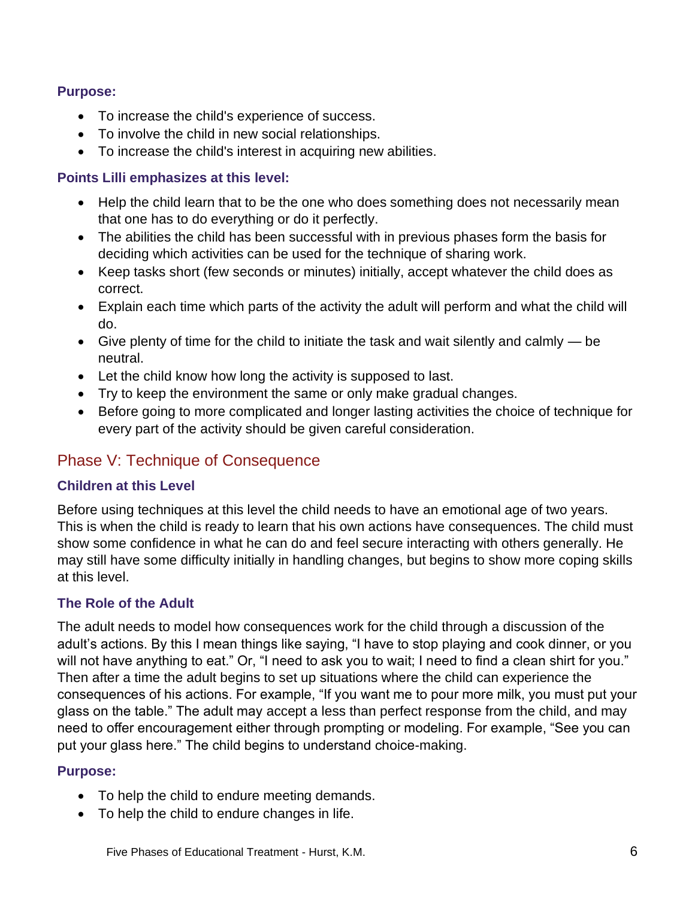#### **Purpose:**

- To increase the child's experience of success.
- To involve the child in new social relationships.
- To increase the child's interest in acquiring new abilities.

#### **Points Lilli emphasizes at this level:**

- Help the child learn that to be the one who does something does not necessarily mean that one has to do everything or do it perfectly.
- The abilities the child has been successful with in previous phases form the basis for deciding which activities can be used for the technique of sharing work.
- Keep tasks short (few seconds or minutes) initially, accept whatever the child does as correct.
- Explain each time which parts of the activity the adult will perform and what the child will do.
- Give plenty of time for the child to initiate the task and wait silently and calmly be neutral.
- Let the child know how long the activity is supposed to last.
- Try to keep the environment the same or only make gradual changes.
- Before going to more complicated and longer lasting activities the choice of technique for every part of the activity should be given careful consideration.

# Phase V: Technique of Consequence

#### **Children at this Level**

Before using techniques at this level the child needs to have an emotional age of two years. This is when the child is ready to learn that his own actions have consequences. The child must show some confidence in what he can do and feel secure interacting with others generally. He may still have some difficulty initially in handling changes, but begins to show more coping skills at this level.

#### **The Role of the Adult**

The adult needs to model how consequences work for the child through a discussion of the adult's actions. By this I mean things like saying, "I have to stop playing and cook dinner, or you will not have anything to eat." Or, "I need to ask you to wait; I need to find a clean shirt for you." Then after a time the adult begins to set up situations where the child can experience the consequences of his actions. For example, "If you want me to pour more milk, you must put your glass on the table." The adult may accept a less than perfect response from the child, and may need to offer encouragement either through prompting or modeling. For example, "See you can put your glass here." The child begins to understand choice-making.

#### **Purpose:**

- To help the child to endure meeting demands.
- To help the child to endure changes in life.